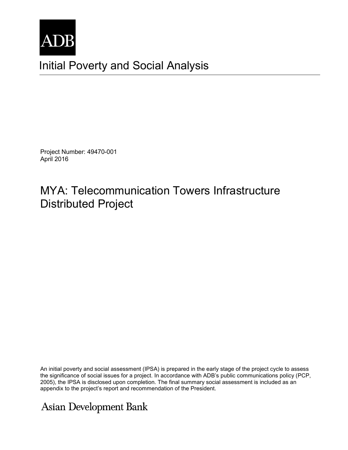

## Initial Poverty and Social Analysis

Project Number: 49470-001 April 2016

## MYA: Telecommunication Towers Infrastructure Distributed Project

An initial poverty and social assessment (IPSA) is prepared in the early stage of the project cycle to assess the significance of social issues for a project. In accordance with ADB's public communications policy (PCP, 2005), the IPSA is disclosed upon completion. The final summary social assessment is included as an appendix to the project's report and recommendation of the President.

## **Asian Development Bank**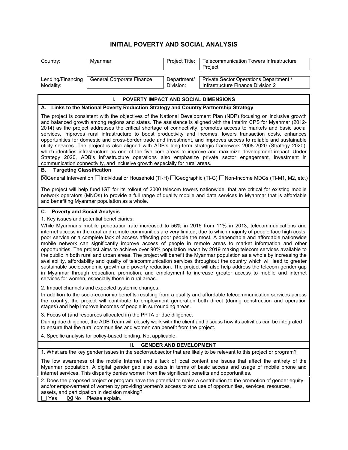## **INITIAL POVERTY AND SOCIAL ANALYSIS**

| Country:                                                                                                                                                                                                                                                                                                                                                                                                                                                                                                                                                                                                                                                                                                                                                                                                                                                                                                                                                                                                                                                                                                                                                                               | Myanmar                                                                                                                                                                                               | Project Title:                | Telecommunication Towers Infrastructure<br>Project                                                                                                                                                                                       |  |
|----------------------------------------------------------------------------------------------------------------------------------------------------------------------------------------------------------------------------------------------------------------------------------------------------------------------------------------------------------------------------------------------------------------------------------------------------------------------------------------------------------------------------------------------------------------------------------------------------------------------------------------------------------------------------------------------------------------------------------------------------------------------------------------------------------------------------------------------------------------------------------------------------------------------------------------------------------------------------------------------------------------------------------------------------------------------------------------------------------------------------------------------------------------------------------------|-------------------------------------------------------------------------------------------------------------------------------------------------------------------------------------------------------|-------------------------------|------------------------------------------------------------------------------------------------------------------------------------------------------------------------------------------------------------------------------------------|--|
| Lending/Financing<br>Modality:                                                                                                                                                                                                                                                                                                                                                                                                                                                                                                                                                                                                                                                                                                                                                                                                                                                                                                                                                                                                                                                                                                                                                         | General Corporate Finance                                                                                                                                                                             | Department/<br>Division:      | Private Sector Operations Department /<br>Infrastructure Finance Division 2                                                                                                                                                              |  |
|                                                                                                                                                                                                                                                                                                                                                                                                                                                                                                                                                                                                                                                                                                                                                                                                                                                                                                                                                                                                                                                                                                                                                                                        | <b>POVERTY IMPACT AND SOCIAL DIMENSIONS</b><br>L.                                                                                                                                                     |                               |                                                                                                                                                                                                                                          |  |
|                                                                                                                                                                                                                                                                                                                                                                                                                                                                                                                                                                                                                                                                                                                                                                                                                                                                                                                                                                                                                                                                                                                                                                                        | A. Links to the National Poverty Reduction Strategy and Country Partnership Strategy                                                                                                                  |                               |                                                                                                                                                                                                                                          |  |
| The project is consistent with the objectives of the National Development Plan (NDP) focusing on inclusive growth<br>and balanced growth among regions and states. The assistance is aligned with the Interim CPS for Myanmar (2012-<br>2014) as the project addresses the critical shortage of connectivity, promotes access to markets and basic social<br>services, improves rural infrastructure to boost productivity and incomes, lowers transaction costs, enhances<br>opportunities for domestic and cross-border trade and investment, and improves access to reliable and sustainable<br>utility services. The project is also aligned with ADB's long-term strategic framework 2008-2020 (Strategy 2020),<br>which identifies infrastructure as one of the five core areas to improve and maximize development impact. Under<br>Strategy 2020, ADB's infrastructure operations also emphasize private sector engagement, investment in<br>communication connectivity, and inclusive growth especially for rural areas.                                                                                                                                                      |                                                                                                                                                                                                       |                               |                                                                                                                                                                                                                                          |  |
| <b>Targeting Classification</b><br>В.                                                                                                                                                                                                                                                                                                                                                                                                                                                                                                                                                                                                                                                                                                                                                                                                                                                                                                                                                                                                                                                                                                                                                  |                                                                                                                                                                                                       |                               |                                                                                                                                                                                                                                          |  |
| ⊠General Intervention Individual or Household (TI-H) IGeographic (TI-G) INon-Income MDGs (TI-M1, M2, etc.)                                                                                                                                                                                                                                                                                                                                                                                                                                                                                                                                                                                                                                                                                                                                                                                                                                                                                                                                                                                                                                                                             |                                                                                                                                                                                                       |                               |                                                                                                                                                                                                                                          |  |
| The project will help fund IGT for its rollout of 2000 telecom towers nationwide, that are critical for existing mobile<br>network operators (MNOs) to provide a full range of quality mobile and data services in Myanmar that is affordable<br>and benefiting Myanmar population as a whole.                                                                                                                                                                                                                                                                                                                                                                                                                                                                                                                                                                                                                                                                                                                                                                                                                                                                                         |                                                                                                                                                                                                       |                               |                                                                                                                                                                                                                                          |  |
| C. Poverty and Social Analysis                                                                                                                                                                                                                                                                                                                                                                                                                                                                                                                                                                                                                                                                                                                                                                                                                                                                                                                                                                                                                                                                                                                                                         |                                                                                                                                                                                                       |                               |                                                                                                                                                                                                                                          |  |
| 1. Key issues and potential beneficiaries.<br>While Myanmar's mobile penetration rate increased to 56% in 2015 from 11% in 2013, telecommunications and<br>internet access in the rural and remote communities are very limited, due to which majority of people face high costs,<br>poor service or a complete lack of access affecting poor people the most. A dependable and affordable nationwide<br>mobile network can significantly improve access of people in remote areas to market information and other<br>opportunities. The project aims to achieve over 90% population reach by 2019 making telecom services available to<br>the public in both rural and urban areas. The project will benefit the Myanmar population as a whole by increasing the<br>availability, affordability and quality of telecommunication services throughout the country which will lead to greater<br>sustainable socioeconomic growth and poverty reduction. The project will also help address the telecom gender gap<br>in Myanmar through education, promotion, and employment to increase greater access to mobile and internet<br>services for women, especially those in rural areas. |                                                                                                                                                                                                       |                               |                                                                                                                                                                                                                                          |  |
|                                                                                                                                                                                                                                                                                                                                                                                                                                                                                                                                                                                                                                                                                                                                                                                                                                                                                                                                                                                                                                                                                                                                                                                        | 2. Impact channels and expected systemic changes.                                                                                                                                                     |                               |                                                                                                                                                                                                                                          |  |
|                                                                                                                                                                                                                                                                                                                                                                                                                                                                                                                                                                                                                                                                                                                                                                                                                                                                                                                                                                                                                                                                                                                                                                                        | stages) and help improve incomes of people in surrounding areas.                                                                                                                                      |                               | In addition to the socio-economic benefits resulting from a quality and affordable telecommunication services across<br>the country, the project will contribute to employment generation both direct (during construction and operation |  |
|                                                                                                                                                                                                                                                                                                                                                                                                                                                                                                                                                                                                                                                                                                                                                                                                                                                                                                                                                                                                                                                                                                                                                                                        | 3. Focus of (and resources allocated in) the PPTA or due diligence.                                                                                                                                   |                               |                                                                                                                                                                                                                                          |  |
|                                                                                                                                                                                                                                                                                                                                                                                                                                                                                                                                                                                                                                                                                                                                                                                                                                                                                                                                                                                                                                                                                                                                                                                        | During due diligence, the ADB Team will closely work with the client and discuss how its activities can be integrated<br>to ensure that the rural communities and women can benefit from the project. |                               |                                                                                                                                                                                                                                          |  |
|                                                                                                                                                                                                                                                                                                                                                                                                                                                                                                                                                                                                                                                                                                                                                                                                                                                                                                                                                                                                                                                                                                                                                                                        | 4. Specific analysis for policy-based lending. Not applicable.                                                                                                                                        |                               |                                                                                                                                                                                                                                          |  |
|                                                                                                                                                                                                                                                                                                                                                                                                                                                                                                                                                                                                                                                                                                                                                                                                                                                                                                                                                                                                                                                                                                                                                                                        | Ш.                                                                                                                                                                                                    | <b>GENDER AND DEVELOPMENT</b> |                                                                                                                                                                                                                                          |  |
|                                                                                                                                                                                                                                                                                                                                                                                                                                                                                                                                                                                                                                                                                                                                                                                                                                                                                                                                                                                                                                                                                                                                                                                        |                                                                                                                                                                                                       |                               | 1. What are the key gender issues in the sector/subsector that are likely to be relevant to this project or program?                                                                                                                     |  |
| The low awareness of the mobile Internet and a lack of local content are issues that affect the entirety of the<br>Myanmar population. A digital gender gap also exists in terms of basic access and usage of mobile phone and<br>internet services. This disparity denies women from the significant benefits and opportunities.                                                                                                                                                                                                                                                                                                                                                                                                                                                                                                                                                                                                                                                                                                                                                                                                                                                      |                                                                                                                                                                                                       |                               |                                                                                                                                                                                                                                          |  |
| 2. Does the proposed project or program have the potential to make a contribution to the promotion of gender equity<br>and/or empowerment of women by providing women's access to and use of opportunities, services, resources,<br>assets, and participation in decision making?<br>Yes<br>$\boxtimes$ No Please explain.                                                                                                                                                                                                                                                                                                                                                                                                                                                                                                                                                                                                                                                                                                                                                                                                                                                             |                                                                                                                                                                                                       |                               |                                                                                                                                                                                                                                          |  |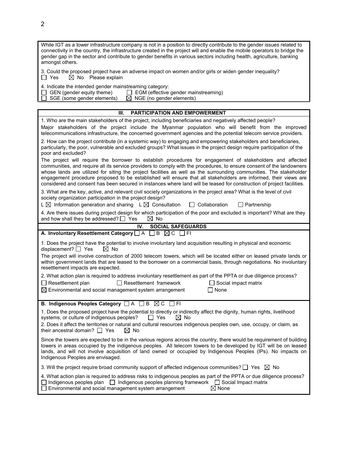| While IGT as a tower infrastructure company is not in a position to directly contribute to the gender issues related to<br>connectivity in the country, the infrastructure created in the project will and enable the mobile operators to bridge the<br>gender gap in the sector and contribute to gender benefits in various sectors including health, agriculture, banking<br>amongst others.                                                                                                                                                                                                       |  |  |  |
|-------------------------------------------------------------------------------------------------------------------------------------------------------------------------------------------------------------------------------------------------------------------------------------------------------------------------------------------------------------------------------------------------------------------------------------------------------------------------------------------------------------------------------------------------------------------------------------------------------|--|--|--|
| 3. Could the proposed project have an adverse impact on women and/or girls or widen gender inequality?<br>$\boxtimes$ No Please explain<br>Π Yes                                                                                                                                                                                                                                                                                                                                                                                                                                                      |  |  |  |
| 4. Indicate the intended gender mainstreaming category:<br>GEN (gender equity theme)<br>$\Box$ EGM (effective gender mainstreaming)<br>$\boxtimes$ NGE (no gender elements)<br>SGE (some gender elements)                                                                                                                                                                                                                                                                                                                                                                                             |  |  |  |
|                                                                                                                                                                                                                                                                                                                                                                                                                                                                                                                                                                                                       |  |  |  |
| <b>PARTICIPATION AND EMPOWERMENT</b><br>III.                                                                                                                                                                                                                                                                                                                                                                                                                                                                                                                                                          |  |  |  |
| 1. Who are the main stakeholders of the project, including beneficiaries and negatively affected people?<br>Major stakeholders of the project include the Myanmar population who will benefit from the improved<br>telecommunications infrastructure, the concerned government agencies and the potential telecom service providers.                                                                                                                                                                                                                                                                  |  |  |  |
| 2. How can the project contribute (in a systemic way) to engaging and empowering stakeholders and beneficiaries,<br>particularly, the poor, vulnerable and excluded groups? What issues in the project design require participation of the<br>poor and excluded?                                                                                                                                                                                                                                                                                                                                      |  |  |  |
| The project will require the borrower to establish procedures for engagement of stakeholders and affected<br>communities, and require all its service providers to comply with the procedures, to ensure consent of the landowners<br>whose lands are utilized for siting the project facilities as well as the surrounding communities. The stakeholder<br>engagement procedure proposed to be established will ensure that all stakeholders are informed, their views are<br>considered and consent has been secured in instances where land will be leased for construction of project facilities. |  |  |  |
| 3. What are the key, active, and relevant civil society organizations in the project area? What is the level of civil<br>society organization participation in the project design?<br>L $\boxtimes$ Information generation and sharing L $\boxtimes$ Consultation<br><b>Collaboration</b><br>$\Box$ Partnership                                                                                                                                                                                                                                                                                       |  |  |  |
| 4. Are there issues during project design for which participation of the poor and excluded is important? What are they<br>and how shall they be addressed? $\Box$ Yes<br>$\boxtimes$ No                                                                                                                                                                                                                                                                                                                                                                                                               |  |  |  |
| IV.<br><b>SOCIAL SAFEGUARDS</b>                                                                                                                                                                                                                                                                                                                                                                                                                                                                                                                                                                       |  |  |  |
| A. Involuntary Resettlement Category $\Box A$ $\Box B$ $\Box C$ $\Box F$                                                                                                                                                                                                                                                                                                                                                                                                                                                                                                                              |  |  |  |
| 1. Does the project have the potential to involve involuntary land acquisition resulting in physical and economic<br>displacement? $\Box$ Yes<br>$\boxtimes$ No                                                                                                                                                                                                                                                                                                                                                                                                                                       |  |  |  |
| The project will involve construction of 2000 telecom towers, which will be located either on leased private lands or<br>within government lands that are leased to the borrower on a commercial basis, through negotiations. No involuntary<br>resettlement impacts are expected.                                                                                                                                                                                                                                                                                                                    |  |  |  |
| 2. What action plan is required to address involuntary resettlement as part of the PPTA or due diligence process?<br>$\Box$ Resettlement plan<br>$\Box$ Resettlement framework<br>$\Box$ Social impact matrix<br>$\boxtimes$ Environmental and social management system arrangement<br>None                                                                                                                                                                                                                                                                                                           |  |  |  |
| <b>B. Indigenous Peoples Category</b> □ A □ B ⊠ C □ FI                                                                                                                                                                                                                                                                                                                                                                                                                                                                                                                                                |  |  |  |
| 1. Does the proposed project have the potential to directly or indirectly affect the dignity, human rights, livelihood<br>$\Box$ Yes<br>systems, or culture of indigenous peoples?<br>$\boxtimes$ No<br>2. Does it affect the territories or natural and cultural resources indigenous peoples own, use, occupy, or claim, as<br>their ancestral domain? $\Box$ Yes<br>⊠ No                                                                                                                                                                                                                           |  |  |  |
| Since the towers are expected to be in the various regions across the country, there would be requirement of building<br>towers in areas occupied by the indigenous peoples. All telecom towers to be developed by IGT will be on leased<br>lands, and will not involve acquisition of land owned or occupied by Indigenous Peoples (IPs). No impacts on<br>Indigenous Peoples are envisaged.                                                                                                                                                                                                         |  |  |  |
| 3. Will the project require broad community support of affected indigenous communities? $\square$ Yes $\boxtimes$ No                                                                                                                                                                                                                                                                                                                                                                                                                                                                                  |  |  |  |
| 4. What action plan is required to address risks to indigenous peoples as part of the PPTA or due diligence process?<br>$\Box$ Indigenous peoples planning framework $\Box$ Social Impact matrix<br>Indigenous peoples plan<br>Environmental and social management system arrangement<br>$\boxtimes$ None                                                                                                                                                                                                                                                                                             |  |  |  |